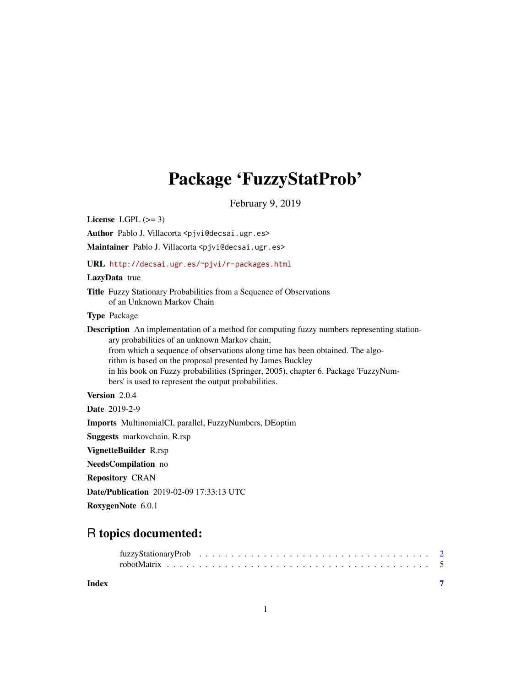## Package 'FuzzyStatProb'

February 9, 2019

<span id="page-0-0"></span>License LGPL  $(>= 3)$ 

Author Pablo J. Villacorta <pjvi@decsai.ugr.es>

Maintainer Pablo J. Villacorta <pjvi@decsai.ugr.es>

URL <http://decsai.ugr.es/~pjvi/r-packages.html>

#### LazyData true

Title Fuzzy Stationary Probabilities from a Sequence of Observations of an Unknown Markov Chain

#### Type Package

Description An implementation of a method for computing fuzzy numbers representing stationary probabilities of an unknown Markov chain, from which a sequence of observations along time has been obtained. The algorithm is based on the proposal presented by James Buckley

in his book on Fuzzy probabilities (Springer, 2005), chapter 6. Package 'FuzzyNumbers' is used to represent the output probabilities.

#### Version 2.0.4

Date 2019-2-9 Imports MultinomialCI, parallel, FuzzyNumbers, DEoptim Suggests markovchain, R.rsp VignetteBuilder R.rsp NeedsCompilation no Repository CRAN

Date/Publication 2019-02-09 17:33:13 UTC

RoxygenNote 6.0.1

### R topics documented:

**Index** [7](#page-6-0)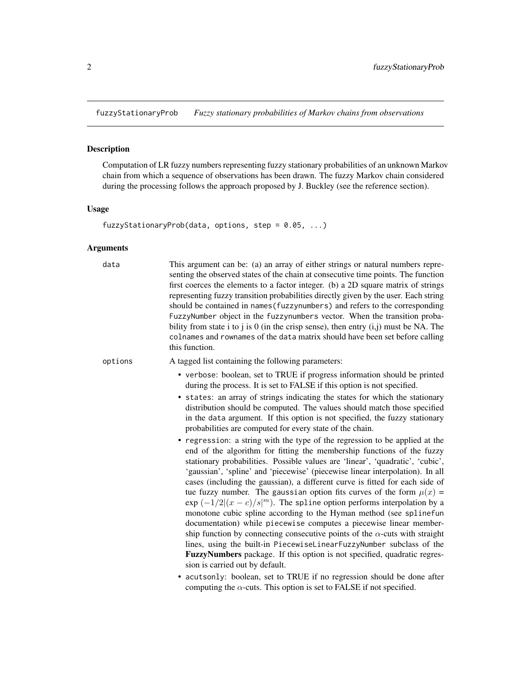<span id="page-1-1"></span><span id="page-1-0"></span>fuzzyStationaryProb *Fuzzy stationary probabilities of Markov chains from observations*

#### Description

Computation of LR fuzzy numbers representing fuzzy stationary probabilities of an unknown Markov chain from which a sequence of observations has been drawn. The fuzzy Markov chain considered during the processing follows the approach proposed by J. Buckley (see the reference section).

#### Usage

```
fuzzyStationaryProb(data, options, step = 0.05, ...)
```
#### Arguments

| data    | This argument can be: (a) an array of either strings or natural numbers repre-<br>senting the observed states of the chain at consecutive time points. The function<br>first coerces the elements to a factor integer. (b) a 2D square matrix of strings<br>representing fuzzy transition probabilities directly given by the user. Each string<br>should be contained in names (fuzzynumbers) and refers to the corresponding<br>FuzzyNumber object in the fuzzynumbers vector. When the transition proba-<br>bility from state i to j is 0 (in the crisp sense), then entry $(i,j)$ must be NA. The<br>colnames and rownames of the data matrix should have been set before calling<br>this function.                                                                                                                                                                                                                                                                                 |
|---------|-----------------------------------------------------------------------------------------------------------------------------------------------------------------------------------------------------------------------------------------------------------------------------------------------------------------------------------------------------------------------------------------------------------------------------------------------------------------------------------------------------------------------------------------------------------------------------------------------------------------------------------------------------------------------------------------------------------------------------------------------------------------------------------------------------------------------------------------------------------------------------------------------------------------------------------------------------------------------------------------|
| options | A tagged list containing the following parameters:                                                                                                                                                                                                                                                                                                                                                                                                                                                                                                                                                                                                                                                                                                                                                                                                                                                                                                                                      |
|         | • verbose: boolean, set to TRUE if progress information should be printed<br>during the process. It is set to FALSE if this option is not specified.                                                                                                                                                                                                                                                                                                                                                                                                                                                                                                                                                                                                                                                                                                                                                                                                                                    |
|         | • states: an array of strings indicating the states for which the stationary<br>distribution should be computed. The values should match those specified<br>in the data argument. If this option is not specified, the fuzzy stationary<br>probabilities are computed for every state of the chain.                                                                                                                                                                                                                                                                                                                                                                                                                                                                                                                                                                                                                                                                                     |
|         | • regression: a string with the type of the regression to be applied at the<br>end of the algorithm for fitting the membership functions of the fuzzy<br>stationary probabilities. Possible values are 'linear', 'quadratic', 'cubic',<br>'gaussian', 'spline' and 'piecewise' (piecewise linear interpolation). In all<br>cases (including the gaussian), a different curve is fitted for each side of<br>tue fuzzy number. The gaussian option fits curves of the form $\mu(x)$ =<br>$\exp(-1/2 (x-c)/s ^m)$ . The spline option performs interpolation by a<br>monotone cubic spline according to the Hyman method (see splinefun<br>documentation) while piecewise computes a piecewise linear member-<br>ship function by connecting consecutive points of the $\alpha$ -cuts with straight<br>lines, using the built-in PiecewiseLinearFuzzyNumber subclass of the<br>FuzzyNumbers package. If this option is not specified, quadratic regres-<br>sion is carried out by default. |
|         | • acutsonly: boolean, set to TRUE if no regression should be done after<br>computing the $\alpha$ -cuts. This option is set to FALSE if not specified.                                                                                                                                                                                                                                                                                                                                                                                                                                                                                                                                                                                                                                                                                                                                                                                                                                  |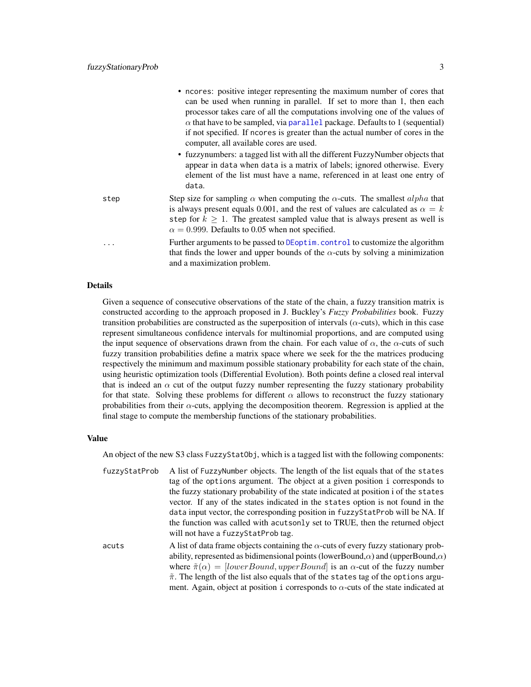<span id="page-2-0"></span>

|      | • neores: positive integer representing the maximum number of cores that                                                                                                                                                               |
|------|----------------------------------------------------------------------------------------------------------------------------------------------------------------------------------------------------------------------------------------|
|      | can be used when running in parallel. If set to more than 1, then each                                                                                                                                                                 |
|      | processor takes care of all the computations involving one of the values of                                                                                                                                                            |
|      | $\alpha$ that have to be sampled, via parallel package. Defaults to 1 (sequential)                                                                                                                                                     |
|      | if not specified. If no res is greater than the actual number of cores in the<br>computer, all available cores are used.                                                                                                               |
|      | • fuzzynumbers: a tagged list with all the different FuzzyNumber objects that                                                                                                                                                          |
|      | appear in data when data is a matrix of labels; ignored otherwise. Every                                                                                                                                                               |
|      | element of the list must have a name, referenced in at least one entry of<br>data.                                                                                                                                                     |
| step | Step size for sampling $\alpha$ when computing the $\alpha$ -cuts. The smallest alpha that                                                                                                                                             |
|      | is always present equals 0.001, and the rest of values are calculated as $\alpha = k$<br>step for $k \geq 1$ . The greatest sampled value that is always present as well is<br>$\alpha = 0.999$ . Defaults to 0.05 when not specified. |
| .    | Further arguments to be passed to DEoptim. control to customize the algorithm                                                                                                                                                          |
|      | that finds the lower and upper bounds of the $\alpha$ -cuts by solving a minimization<br>and a maximization problem.                                                                                                                   |

#### Details

Given a sequence of consecutive observations of the state of the chain, a fuzzy transition matrix is constructed according to the approach proposed in J. Buckley's *Fuzzy Probabilities* book. Fuzzy transition probabilities are constructed as the superposition of intervals ( $\alpha$ -cuts), which in this case represent simultaneous confidence intervals for multinomial proportions, and are computed using the input sequence of observations drawn from the chain. For each value of  $\alpha$ , the  $\alpha$ -cuts of such fuzzy transition probabilities define a matrix space where we seek for the the matrices producing respectively the minimum and maximum possible stationary probability for each state of the chain, using heuristic optimization tools (Differential Evolution). Both points define a closed real interval that is indeed an  $\alpha$  cut of the output fuzzy number representing the fuzzy stationary probability for that state. Solving these problems for different  $\alpha$  allows to reconstruct the fuzzy stationary probabilities from their  $\alpha$ -cuts, applying the decomposition theorem. Regression is applied at the final stage to compute the membership functions of the stationary probabilities.

#### Value

An object of the new S3 class FuzzyStatObj, which is a tagged list with the following components:

| fuzzyStatProb | A list of FuzzyNumber objects. The length of the list equals that of the states                                                                                                                                                       |
|---------------|---------------------------------------------------------------------------------------------------------------------------------------------------------------------------------------------------------------------------------------|
|               | tag of the options argument. The object at a given position i corresponds to                                                                                                                                                          |
|               | the fuzzy stationary probability of the state indicated at position i of the states                                                                                                                                                   |
|               | vector. If any of the states indicated in the states option is not found in the                                                                                                                                                       |
|               | data input vector, the corresponding position in fuzzyStatProb will be NA. If                                                                                                                                                         |
|               | the function was called with acutsonly set to TRUE, then the returned object                                                                                                                                                          |
|               | will not have a fuzzy Stat Prob tag.                                                                                                                                                                                                  |
|               | $\mathbf{A}$ and $\mathbf{A}$ are associated to the contract of the contract of the contract of the contract of the contract of the contract of the contract of the contract of the contract of the contract of the contract of the c |

acuts A list of data frame objects containing the  $\alpha$ -cuts of every fuzzy stationary probability, represented as bidimensional points (lowerBound, $\alpha$ ) and (upperBound, $\alpha$ ) where  $\tilde{\pi}(\alpha) = [lowerBound, upperBound]$  is an  $\alpha$ -cut of the fuzzy number  $\tilde{\pi}$ . The length of the list also equals that of the states tag of the options argument. Again, object at position i corresponds to  $\alpha$ -cuts of the state indicated at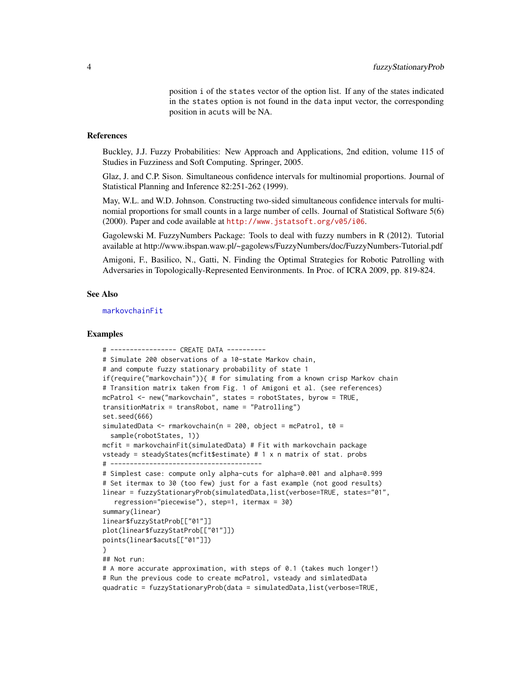position i of the states vector of the option list. If any of the states indicated in the states option is not found in the data input vector, the corresponding position in acuts will be NA.

#### <span id="page-3-0"></span>References

Buckley, J.J. Fuzzy Probabilities: New Approach and Applications, 2nd edition, volume 115 of Studies in Fuzziness and Soft Computing. Springer, 2005.

Glaz, J. and C.P. Sison. Simultaneous confidence intervals for multinomial proportions. Journal of Statistical Planning and Inference 82:251-262 (1999).

May, W.L. and W.D. Johnson. Constructing two-sided simultaneous confidence intervals for multinomial proportions for small counts in a large number of cells. Journal of Statistical Software 5(6) (2000). Paper and code available at <http://www.jstatsoft.org/v05/i06>.

Gagolewski M. FuzzyNumbers Package: Tools to deal with fuzzy numbers in R (2012). Tutorial available at http://www.ibspan.waw.pl/~gagolews/FuzzyNumbers/doc/FuzzyNumbers-Tutorial.pdf

Amigoni, F., Basilico, N., Gatti, N. Finding the Optimal Strategies for Robotic Patrolling with Adversaries in Topologically-Represented Eenvironments. In Proc. of ICRA 2009, pp. 819-824.

#### See Also

[markovchainFit](#page-0-0)

#### Examples

```
# ----------------- CREATE DATA ----------
# Simulate 200 observations of a 10-state Markov chain,
# and compute fuzzy stationary probability of state 1
if(require("markovchain")){ # for simulating from a known crisp Markov chain
# Transition matrix taken from Fig. 1 of Amigoni et al. (see references)
mcPatrol <- new("markovchain", states = robotStates, byrow = TRUE,
transitionMatrix = transRobot, name = "Patrolling")
set.seed(666)
simulatedData <- rmarkovchain(n = 200, object = mcPatrol, t0 =
  sample(robotStates, 1))
mcfit = markovchainFit(simulatedData) # Fit with markovchain package
vsteady = steadyStates(mcfit$estimate) # 1 x n matrix of stat. probs
# ---------------------------------------
# Simplest case: compute only alpha-cuts for alpha=0.001 and alpha=0.999
# Set itermax to 30 (too few) just for a fast example (not good results)
linear = fuzzyStationaryProb(simulatedData,list(verbose=TRUE, states="01",
   regression="piecewise"), step=1, itermax = 30)
summary(linear)
linear$fuzzyStatProb[["01"]]
plot(linear$fuzzyStatProb[["01"]])
points(linear$acuts[["01"]])
}
## Not run:
# A more accurate approximation, with steps of 0.1 (takes much longer!)
# Run the previous code to create mcPatrol, vsteady and simlatedData
quadratic = fuzzyStationaryProb(data = simulatedData,list(verbose=TRUE,
```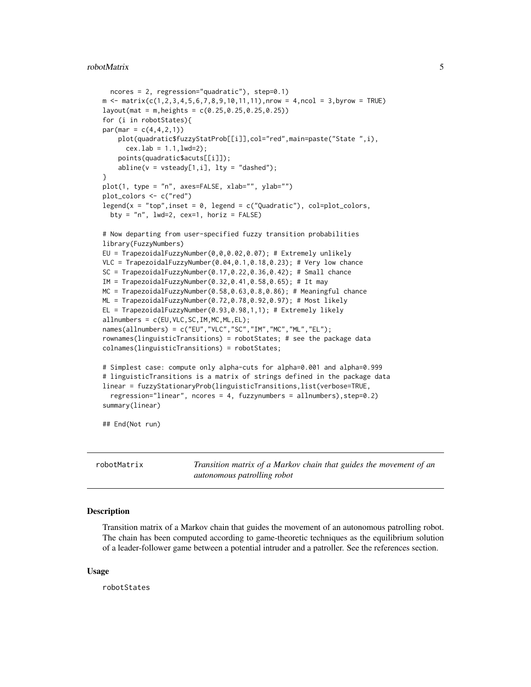#### <span id="page-4-0"></span>robotMatrix 5

```
ncores = 2, regression="quadratic"), step=0.1)
m \le - matrix(c(1,2,3,4,5,6,7,8,9,10,11,11),nrow = 4,ncol = 3,byrow = TRUE)
layout(mat = m,heights = c(0.25,0.25,0.25,0.25))
for (i in robotStates){
par(max = c(4, 4, 2, 1))plot(quadratic$fuzzyStatProb[[i]],col="red",main=paste("State ",i),
     cex.1ab = 1.1,1wd=2;
   points(quadratic$acuts[[i]]);
    abline(v = vsteady[1, i], lty = "dashed");}
plot(1, type = "n", axes=FALSE, xlab="", ylab="")
plot_colors <- c("red")
legend(x = "top", insert = 0, legend = c("Quadratic"), col=plot_colors,bty = "n", 1wd=2, cex=1, horiz = FALSE)
# Now departing from user-specified fuzzy transition probabilities
library(FuzzyNumbers)
EU = TrapezoidalFuzzyNumber(0,0,0.02,0.07); # Extremely unlikely
VLC = TrapezoidalFuzzyNumber(0.04,0.1,0.18,0.23); # Very low chance
SC = TrapezoidalFuzzyNumber(0.17,0.22,0.36,0.42); # Small chance
IM = TrapezoidalFuzzyNumber(0.32,0.41,0.58,0.65); # It may
MC = TrapezoidalFuzzyNumber(0.58,0.63,0.8,0.86); # Meaningful chance
ML = TrapezoidalFuzzyNumber(0.72,0.78,0.92,0.97); # Most likely
EL = TrapezoidalFuzzyNumber(0.93,0.98,1,1); # Extremely likely
allnumbers = c(EU,VLC,SC,IM,MC,ML,EL);
names(allnumbers) = c("EU","VLC","SC","IM","MC","ML","EL");
rownames(linguisticTransitions) = robotStates; # see the package data
colnames(linguisticTransitions) = robotStates;
# Simplest case: compute only alpha-cuts for alpha=0.001 and alpha=0.999
# linguisticTransitions is a matrix of strings defined in the package data
linear = fuzzyStationaryProb(linguisticTransitions,list(verbose=TRUE,
 regression="linear", ncores = 4, fuzzynumbers = allnumbers),step=0.2)
summary(linear)
## End(Not run)
```
robotMatrix *Transition matrix of a Markov chain that guides the movement of an autonomous patrolling robot*

#### Description

Transition matrix of a Markov chain that guides the movement of an autonomous patrolling robot. The chain has been computed according to game-theoretic techniques as the equilibrium solution of a leader-follower game between a potential intruder and a patroller. See the references section.

#### Usage

robotStates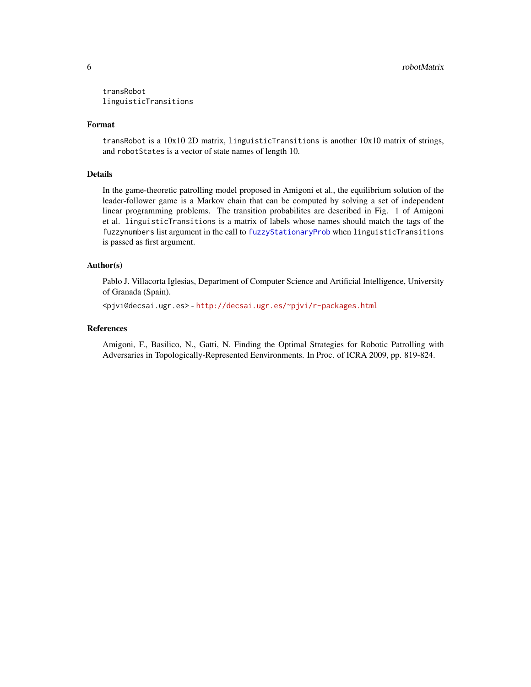<span id="page-5-0"></span>transRobot linguisticTransitions

#### Format

transRobot is a 10x10 2D matrix, linguisticTransitions is another 10x10 matrix of strings, and robotStates is a vector of state names of length 10.

#### Details

In the game-theoretic patrolling model proposed in Amigoni et al., the equilibrium solution of the leader-follower game is a Markov chain that can be computed by solving a set of independent linear programming problems. The transition probabilites are described in Fig. 1 of Amigoni et al. linguisticTransitions is a matrix of labels whose names should match the tags of the fuzzynumbers list argument in the call to [fuzzyStationaryProb](#page-1-1) when linguisticTransitions is passed as first argument.

#### Author(s)

Pablo J. Villacorta Iglesias, Department of Computer Science and Artificial Intelligence, University of Granada (Spain).

<pjvi@decsai.ugr.es> - <http://decsai.ugr.es/~pjvi/r-packages.html>

#### References

Amigoni, F., Basilico, N., Gatti, N. Finding the Optimal Strategies for Robotic Patrolling with Adversaries in Topologically-Represented Eenvironments. In Proc. of ICRA 2009, pp. 819-824.